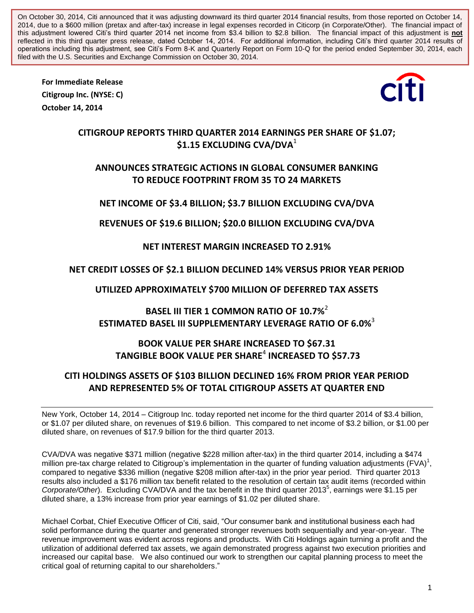On October 30, 2014, Citi announced that it was adjusting downward its third quarter 2014 financial results, from those reported on October 14, 2014, due to a \$600 million (pretax and after-tax) increase in legal expenses recorded in Citicorp (in Corporate/Other). The financial impact of this adjustment lowered Citi's third quarter 2014 net income from \$3.4 billion to \$2.8 billion. The financial impact of this adjustment is **not** reflected in this third quarter press release, dated October 14, 2014. For additional information, including Citi's third quarter 2014 results of operations including this adjustment, see Citi's Form 8-K and Quarterly Report on Form 10-Q for the period ended September 30, 2014, each filed with the U.S. Securities and Exchange Commission on October 30, 2014.

**For Immediate Release Citigroup Inc. (NYSE: C) October 14, 2014**



## **CITIGROUP REPORTS THIRD QUARTER 2014 EARNINGS PER SHARE OF \$1.07; \$1.15 EXCLUDING CVA/DVA**<sup>1</sup>

## **ANNOUNCES STRATEGIC ACTIONS IN GLOBAL CONSUMER BANKING TO REDUCE FOOTPRINT FROM 35 TO 24 MARKETS**

## **NET INCOME OF \$3.4 BILLION; \$3.7 BILLION EXCLUDING CVA/DVA**

**REVENUES OF \$19.6 BILLION; \$20.0 BILLION EXCLUDING CVA/DVA**

## **NET INTEREST MARGIN INCREASED TO 2.91%**

## **NET CREDIT LOSSES OF \$2.1 BILLION DECLINED 14% VERSUS PRIOR YEAR PERIOD**

**UTILIZED APPROXIMATELY \$700 MILLION OF DEFERRED TAX ASSETS**

**BASEL III TIER 1 COMMON RATIO OF 10.7%** 2 **ESTIMATED BASEL III SUPPLEMENTARY LEVERAGE RATIO OF 6.0%** 3

# **BOOK VALUE PER SHARE INCREASED TO \$67.31 TANGIBLE BOOK VALUE PER SHARE**<sup>4</sup> **INCREASED TO \$57.73**

## **CITI HOLDINGS ASSETS OF \$103 BILLION DECLINED 16% FROM PRIOR YEAR PERIOD AND REPRESENTED 5% OF TOTAL CITIGROUP ASSETS AT QUARTER END**

New York, October 14, 2014 – Citigroup Inc. today reported net income for the third quarter 2014 of \$3.4 billion, or \$1.07 per diluted share, on revenues of \$19.6 billion. This compared to net income of \$3.2 billion, or \$1.00 per diluted share, on revenues of \$17.9 billion for the third quarter 2013.

CVA/DVA was negative \$371 million (negative \$228 million after-tax) in the third quarter 2014, including a \$474 million pre-tax charge related to Citigroup's implementation in the quarter of funding valuation adjustments (FVA)<sup>1</sup>, compared to negative \$336 million (negative \$208 million after-tax) in the prior year period. Third quarter 2013 results also included a \$176 million tax benefit related to the resolution of certain tax audit items (recorded within Corporate/Other). Excluding CVA/DVA and the tax benefit in the third quarter 2013<sup>5</sup>, earnings were \$1.15 per diluted share, a 13% increase from prior year earnings of \$1.02 per diluted share.

Michael Corbat, Chief Executive Officer of Citi, said, "Our consumer bank and institutional business each had solid performance during the quarter and generated stronger revenues both sequentially and year-on-year. The revenue improvement was evident across regions and products. With Citi Holdings again turning a profit and the utilization of additional deferred tax assets, we again demonstrated progress against two execution priorities and increased our capital base. We also continued our work to strengthen our capital planning process to meet the critical goal of returning capital to our shareholders."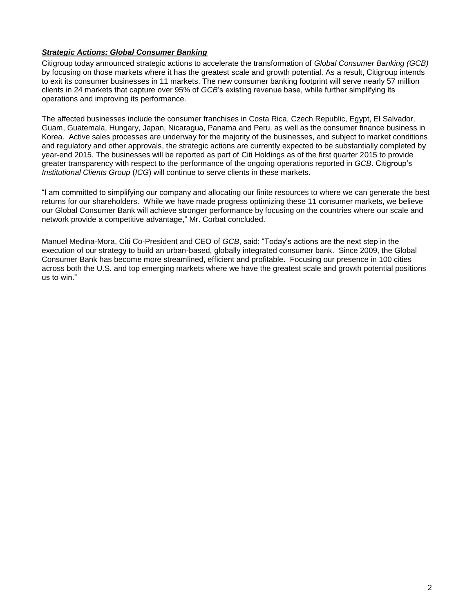### *Strategic Actions: Global Consumer Banking*

Citigroup today announced strategic actions to accelerate the transformation of *Global Consumer Banking (GCB)* by focusing on those markets where it has the greatest scale and growth potential. As a result, Citigroup intends to exit its consumer businesses in 11 markets. The new consumer banking footprint will serve nearly 57 million clients in 24 markets that capture over 95% of *GCB*'s existing revenue base, while further simplifying its operations and improving its performance.

The affected businesses include the consumer franchises in Costa Rica, Czech Republic, Egypt, El Salvador, Guam, Guatemala, Hungary, Japan, Nicaragua, Panama and Peru, as well as the consumer finance business in Korea. Active sales processes are underway for the majority of the businesses, and subject to market conditions and regulatory and other approvals, the strategic actions are currently expected to be substantially completed by year-end 2015. The businesses will be reported as part of Citi Holdings as of the first quarter 2015 to provide greater transparency with respect to the performance of the ongoing operations reported in *GCB*. Citigroup's *Institutional Clients Group* (*ICG*) will continue to serve clients in these markets.

"I am committed to simplifying our company and allocating our finite resources to where we can generate the best returns for our shareholders. While we have made progress optimizing these 11 consumer markets, we believe our Global Consumer Bank will achieve stronger performance by focusing on the countries where our scale and network provide a competitive advantage," Mr. Corbat concluded.

Manuel Medina-Mora, Citi Co-President and CEO of *GCB*, said: "Today's actions are the next step in the execution of our strategy to build an urban-based, globally integrated consumer bank. Since 2009, the Global Consumer Bank has become more streamlined, efficient and profitable. Focusing our presence in 100 cities across both the U.S. and top emerging markets where we have the greatest scale and growth potential positions us to win."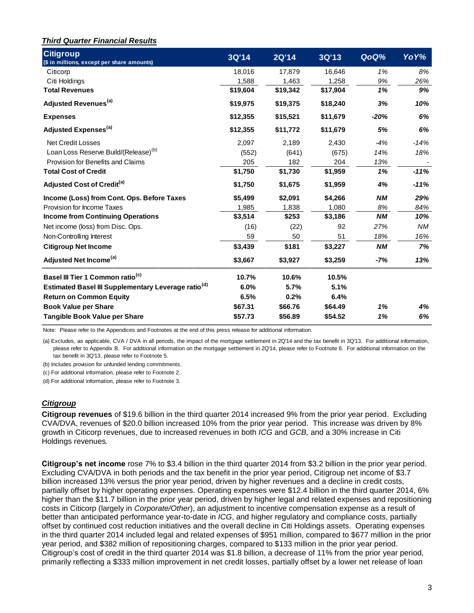### *Third Quarter Financial Results*

| <b>Citigroup</b><br>(\$ in millions, except per share amounts)                                                                                                                                                                                                                                                                                                                                                                                                                                                                                                                                                                                                                                                                                                                                                                                                                                                                                                                                                                                                                                                                                                                                                                                                                                                                                                                                                                                                  | 3Q'14    | <b>2Q'14</b> | 3Q'13    | QoQ%      | YoY%   |
|-----------------------------------------------------------------------------------------------------------------------------------------------------------------------------------------------------------------------------------------------------------------------------------------------------------------------------------------------------------------------------------------------------------------------------------------------------------------------------------------------------------------------------------------------------------------------------------------------------------------------------------------------------------------------------------------------------------------------------------------------------------------------------------------------------------------------------------------------------------------------------------------------------------------------------------------------------------------------------------------------------------------------------------------------------------------------------------------------------------------------------------------------------------------------------------------------------------------------------------------------------------------------------------------------------------------------------------------------------------------------------------------------------------------------------------------------------------------|----------|--------------|----------|-----------|--------|
| Citicorp                                                                                                                                                                                                                                                                                                                                                                                                                                                                                                                                                                                                                                                                                                                                                                                                                                                                                                                                                                                                                                                                                                                                                                                                                                                                                                                                                                                                                                                        | 18,016   | 17,879       | 16,646   | 1%        | 8%     |
| Citi Holdings                                                                                                                                                                                                                                                                                                                                                                                                                                                                                                                                                                                                                                                                                                                                                                                                                                                                                                                                                                                                                                                                                                                                                                                                                                                                                                                                                                                                                                                   | 1,588    | 1,463        | 1,258    | 9%        | 26%    |
| <b>Total Revenues</b>                                                                                                                                                                                                                                                                                                                                                                                                                                                                                                                                                                                                                                                                                                                                                                                                                                                                                                                                                                                                                                                                                                                                                                                                                                                                                                                                                                                                                                           | \$19,604 | \$19,342     | \$17,904 | 1%        | 9%     |
| Adjusted Revenues <sup>(a)</sup>                                                                                                                                                                                                                                                                                                                                                                                                                                                                                                                                                                                                                                                                                                                                                                                                                                                                                                                                                                                                                                                                                                                                                                                                                                                                                                                                                                                                                                | \$19,975 | \$19,375     | \$18,240 | 3%        | 10%    |
| <b>Expenses</b>                                                                                                                                                                                                                                                                                                                                                                                                                                                                                                                                                                                                                                                                                                                                                                                                                                                                                                                                                                                                                                                                                                                                                                                                                                                                                                                                                                                                                                                 | \$12,355 | \$15,521     | \$11,679 | $-20%$    | 6%     |
| Adjusted Expenses <sup>(a)</sup>                                                                                                                                                                                                                                                                                                                                                                                                                                                                                                                                                                                                                                                                                                                                                                                                                                                                                                                                                                                                                                                                                                                                                                                                                                                                                                                                                                                                                                | \$12,355 | \$11,772     | \$11,679 | 5%        | 6%     |
| <b>Net Credit Losses</b>                                                                                                                                                                                                                                                                                                                                                                                                                                                                                                                                                                                                                                                                                                                                                                                                                                                                                                                                                                                                                                                                                                                                                                                                                                                                                                                                                                                                                                        | 2,097    | 2,189        | 2,430    | -4%       | -14%   |
| Loan Loss Reserve Build/(Release) <sup>(b)</sup>                                                                                                                                                                                                                                                                                                                                                                                                                                                                                                                                                                                                                                                                                                                                                                                                                                                                                                                                                                                                                                                                                                                                                                                                                                                                                                                                                                                                                | (552)    | (641)        | (675)    | 14%       | 18%    |
| Provision for Benefits and Claims                                                                                                                                                                                                                                                                                                                                                                                                                                                                                                                                                                                                                                                                                                                                                                                                                                                                                                                                                                                                                                                                                                                                                                                                                                                                                                                                                                                                                               | 205      | 182          | 204      | 13%       |        |
| <b>Total Cost of Credit</b>                                                                                                                                                                                                                                                                                                                                                                                                                                                                                                                                                                                                                                                                                                                                                                                                                                                                                                                                                                                                                                                                                                                                                                                                                                                                                                                                                                                                                                     | \$1,750  | \$1,730      | \$1,959  | 1%        | $-11%$ |
| Adjusted Cost of Credit <sup>(a)</sup>                                                                                                                                                                                                                                                                                                                                                                                                                                                                                                                                                                                                                                                                                                                                                                                                                                                                                                                                                                                                                                                                                                                                                                                                                                                                                                                                                                                                                          | \$1,750  | \$1,675      | \$1,959  | 4%        | -11%   |
| Income (Loss) from Cont. Ops. Before Taxes                                                                                                                                                                                                                                                                                                                                                                                                                                                                                                                                                                                                                                                                                                                                                                                                                                                                                                                                                                                                                                                                                                                                                                                                                                                                                                                                                                                                                      | \$5,499  | \$2,091      | \$4,266  | <b>NM</b> | 29%    |
| Provision for Income Taxes                                                                                                                                                                                                                                                                                                                                                                                                                                                                                                                                                                                                                                                                                                                                                                                                                                                                                                                                                                                                                                                                                                                                                                                                                                                                                                                                                                                                                                      | 1,985    | 1,838        | 1,080    | 8%        | 84%    |
| <b>Income from Continuing Operations</b>                                                                                                                                                                                                                                                                                                                                                                                                                                                                                                                                                                                                                                                                                                                                                                                                                                                                                                                                                                                                                                                                                                                                                                                                                                                                                                                                                                                                                        | \$3,514  | \$253        | \$3,186  | <b>NM</b> | 10%    |
| Net income (loss) from Disc. Ops.                                                                                                                                                                                                                                                                                                                                                                                                                                                                                                                                                                                                                                                                                                                                                                                                                                                                                                                                                                                                                                                                                                                                                                                                                                                                                                                                                                                                                               | (16)     | (22)         | 92       | 27%       | ΝM     |
| Non-Controlling Interest                                                                                                                                                                                                                                                                                                                                                                                                                                                                                                                                                                                                                                                                                                                                                                                                                                                                                                                                                                                                                                                                                                                                                                                                                                                                                                                                                                                                                                        | 59       | 50           | 51       | 18%       | 16%    |
| <b>Citigroup Net Income</b>                                                                                                                                                                                                                                                                                                                                                                                                                                                                                                                                                                                                                                                                                                                                                                                                                                                                                                                                                                                                                                                                                                                                                                                                                                                                                                                                                                                                                                     | \$3,439  | \$181        | \$3,227  | <b>NM</b> | 7%     |
| Adjusted Net Income <sup>(a)</sup>                                                                                                                                                                                                                                                                                                                                                                                                                                                                                                                                                                                                                                                                                                                                                                                                                                                                                                                                                                                                                                                                                                                                                                                                                                                                                                                                                                                                                              | \$3,667  | \$3,927      | \$3,259  | $-7%$     | 13%    |
| Basel III Tier 1 Common ratio <sup>(c)</sup>                                                                                                                                                                                                                                                                                                                                                                                                                                                                                                                                                                                                                                                                                                                                                                                                                                                                                                                                                                                                                                                                                                                                                                                                                                                                                                                                                                                                                    | 10.7%    | 10.6%        | 10.5%    |           |        |
| Estimated Basel III Supplementary Leverage ratio <sup>(d)</sup>                                                                                                                                                                                                                                                                                                                                                                                                                                                                                                                                                                                                                                                                                                                                                                                                                                                                                                                                                                                                                                                                                                                                                                                                                                                                                                                                                                                                 | 6.0%     | 5.7%         | 5.1%     |           |        |
| <b>Return on Common Equity</b>                                                                                                                                                                                                                                                                                                                                                                                                                                                                                                                                                                                                                                                                                                                                                                                                                                                                                                                                                                                                                                                                                                                                                                                                                                                                                                                                                                                                                                  | 6.5%     | 0.2%         | 6.4%     |           |        |
| <b>Book Value per Share</b>                                                                                                                                                                                                                                                                                                                                                                                                                                                                                                                                                                                                                                                                                                                                                                                                                                                                                                                                                                                                                                                                                                                                                                                                                                                                                                                                                                                                                                     | \$67.31  | \$66.76      | \$64.49  | 1%        | 4%     |
| <b>Tangible Book Value per Share</b>                                                                                                                                                                                                                                                                                                                                                                                                                                                                                                                                                                                                                                                                                                                                                                                                                                                                                                                                                                                                                                                                                                                                                                                                                                                                                                                                                                                                                            | \$57.73  | \$56.89      | \$54.52  | 1%        | 6%     |
| Note: Please refer to the Appendices and Footnotes at the end of this press release for additional information.<br>(a) Excludes, as applicable, CVA / DVA in all periods, the impact of the mortgage settlement in 2Q'14 and the tax benefit in 3Q'13. For additional information,<br>please refer to Appendix B. For additional information on the mortgage settlement in 2Q'14, please refer to Footnote 6. For additional information on the<br>tax benefit in 3Q'13, please refer to Footnote 5.<br>(b) Includes provision for unfunded lending commitments.<br>(c) For additional information, please refer to Footnote 2.<br>(d) For additional information, please refer to Footnote 3.                                                                                                                                                                                                                                                                                                                                                                                                                                                                                                                                                                                                                                                                                                                                                                  |          |              |          |           |        |
| <b>Citigroup</b>                                                                                                                                                                                                                                                                                                                                                                                                                                                                                                                                                                                                                                                                                                                                                                                                                                                                                                                                                                                                                                                                                                                                                                                                                                                                                                                                                                                                                                                |          |              |          |           |        |
| Citigroup revenues of \$19.6 billion in the third quarter 2014 increased 9% from the prior year period. Excluding<br>CVA/DVA, revenues of \$20.0 billion increased 10% from the prior year period. This increase was driven by 8%<br>growth in Citicorp revenues, due to increased revenues in both ICG and GCB, and a 30% increase in Citi<br>Holdings revenues.                                                                                                                                                                                                                                                                                                                                                                                                                                                                                                                                                                                                                                                                                                                                                                                                                                                                                                                                                                                                                                                                                               |          |              |          |           |        |
| Citigroup's net income rose 7% to \$3.4 billion in the third quarter 2014 from \$3.2 billion in the prior year period.<br>Excluding CVA/DVA in both periods and the tax benefit in the prior year period, Citigroup net income of \$3.7<br>billion increased 13% versus the prior year period, driven by higher revenues and a decline in credit costs,<br>partially offset by higher operating expenses. Operating expenses were \$12.4 billion in the third quarter 2014, 6%<br>higher than the \$11.7 billion in the prior year period, driven by higher legal and related expenses and repositioning<br>costs in Citicorp (largely in Corporate/Other), an adjustment to incentive compensation expense as a result of<br>better than anticipated performance year-to-date in ICG, and higher regulatory and compliance costs, partially<br>offset by continued cost reduction initiatives and the overall decline in Citi Holdings assets. Operating expenses<br>in the third quarter 2014 included legal and related expenses of \$951 million, compared to \$677 million in the prior<br>year period, and \$382 million of repositioning charges, compared to \$133 million in the prior year period.<br>Citigroup's cost of credit in the third quarter 2014 was \$1.8 billion, a decrease of 11% from the prior year period,<br>primarily reflecting a \$333 million improvement in net credit losses, partially offset by a lower net release of loan |          |              |          |           |        |

#### *Citigroup*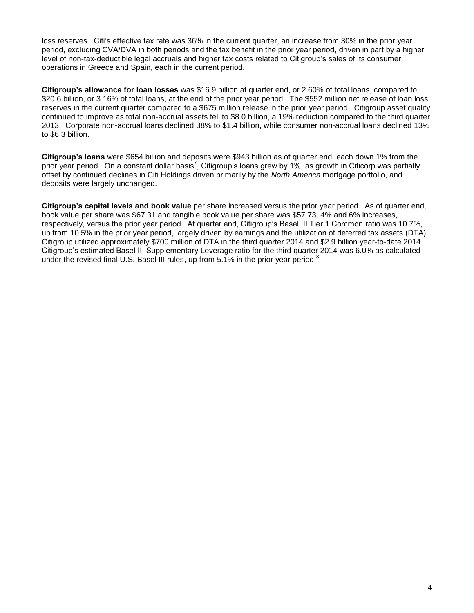loss reserves. Citi's effective tax rate was 36% in the current quarter, an increase from 30% in the prior year period, excluding CVA/DVA in both periods and the tax benefit in the prior year period, driven in part by a higher level of non-tax-deductible legal accruals and higher tax costs related to Citigroup's sales of its consumer operations in Greece and Spain, each in the current period.

**Citigroup's allowance for loan losses** was \$16.9 billion at quarter end, or 2.60% of total loans, compared to \$20.6 billion, or 3.16% of total loans, at the end of the prior year period. The \$552 million net release of loan loss reserves in the current quarter compared to a \$675 million release in the prior year period. Citigroup asset quality continued to improve as total non-accrual assets fell to \$8.0 billion, a 19% reduction compared to the third quarter 2013. Corporate non-accrual loans declined 38% to \$1.4 billion, while consumer non-accrual loans declined 13% to \$6.3 billion.

**Citigroup's loans** were \$654 billion and deposits were \$943 billion as of quarter end, each down 1% from the prior year period. On a constant dollar basis<sup>7</sup>, Citigroup's loans grew by 1%, as growth in Citicorp was partially offset by continued declines in Citi Holdings driven primarily by the *North America* mortgage portfolio, and deposits were largely unchanged.

**Citigroup's capital levels and book value** per share increased versus the prior year period. As of quarter end, book value per share was \$67.31 and tangible book value per share was \$57.73, 4% and 6% increases, respectively, versus the prior year period. At quarter end, Citigroup's Basel III Tier 1 Common ratio was 10.7%, up from 10.5% in the prior year period, largely driven by earnings and the utilization of deferred tax assets (DTA). Citigroup utilized approximately \$700 million of DTA in the third quarter 2014 and \$2.9 billion year-to-date 2014. Citigroup's estimated Basel III Supplementary Leverage ratio for the third quarter 2014 was 6.0% as calculated under the revised final U.S. Basel III rules, up from 5.1% in the prior year period.<sup>3</sup>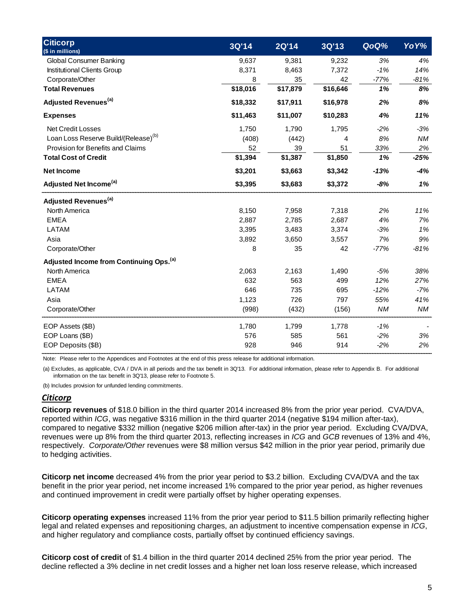| <b>Citicorp</b><br>(\$ in millions)                 | 3Q'14    | <b>2Q'14</b> | 3Q'13    | QoQ%      | YoY%      |
|-----------------------------------------------------|----------|--------------|----------|-----------|-----------|
| <b>Global Consumer Banking</b>                      | 9,637    | 9,381        | 9,232    | 3%        | 4%        |
| Institutional Clients Group                         | 8,371    | 8,463        | 7,372    | $-1%$     | 14%       |
| Corporate/Other                                     | 8        | 35           | 42       | $-77%$    | $-81%$    |
| <b>Total Revenues</b>                               | \$18,016 | \$17,879     | \$16,646 | 1%        | 8%        |
| Adjusted Revenues <sup>(a)</sup>                    | \$18,332 | \$17,911     | \$16,978 | 2%        | 8%        |
| <b>Expenses</b>                                     | \$11,463 | \$11,007     | \$10,283 | 4%        | 11%       |
| <b>Net Credit Losses</b>                            | 1,750    | 1,790        | 1,795    | $-2%$     | $-3%$     |
| Loan Loss Reserve Build/(Release) <sup>(b)</sup>    | (408)    | (442)        | 4        | 8%        | <b>NM</b> |
| Provision for Benefits and Claims                   | 52       | 39           | 51       | 33%       | 2%        |
| <b>Total Cost of Credit</b>                         | \$1,394  | \$1,387      | \$1,850  | 1%        | $-25%$    |
| <b>Net Income</b>                                   | \$3,201  | \$3,663      | \$3,342  | $-13%$    | -4%       |
| Adjusted Net Income <sup>(a)</sup>                  | \$3,395  | \$3,683      | \$3,372  | $-8%$     | 1%        |
| Adjusted Revenues <sup>(a)</sup>                    |          |              |          |           |           |
| North America                                       | 8,150    | 7,958        | 7,318    | 2%        | 11%       |
| <b>EMEA</b>                                         | 2,887    | 2,785        | 2,687    | 4%        | 7%        |
| LATAM                                               | 3,395    | 3,483        | 3,374    | $-3%$     | 1%        |
| Asia                                                | 3,892    | 3,650        | 3,557    | 7%        | 9%        |
| Corporate/Other                                     | 8        | 35           | 42       | $-77%$    | $-81%$    |
| Adjusted Income from Continuing Ops. <sup>(a)</sup> |          |              |          |           |           |
| North America                                       | 2,063    | 2,163        | 1,490    | $-5%$     | 38%       |
| <b>EMEA</b>                                         | 632      | 563          | 499      | 12%       | 27%       |
| LATAM                                               | 646      | 735          | 695      | $-12%$    | $-7%$     |
| Asia                                                | 1,123    | 726          | 797      | 55%       | 41%       |
| Corporate/Other                                     | (998)    | (432)        | (156)    | <b>NM</b> | ΝM        |
| EOP Assets (\$B)                                    | 1,780    | 1,799        | 1,778    | $-1%$     |           |
| EOP Loans (\$B)                                     | 576      | 585          | 561      | $-2%$     | 3%        |
| EOP Deposits (\$B)                                  | 928      | 946          | 914      | $-2%$     | 2%        |

Note: Please refer to the Appendices and Footnotes at the end of this press release for additional information.

(a) Excludes, as applicable, CVA / DVA in all periods and the tax benefit in 3Q'13. For additional information, please refer to Appendix B. For additional information on the tax benefit in 3Q'13, please refer to Footnote 5.

(b) Includes provision for unfunded lending commitments.

## *Citicorp*

**Citicorp revenues** of \$18.0 billion in the third quarter 2014 increased 8% from the prior year period. CVA/DVA, reported within *ICG*, was negative \$316 million in the third quarter 2014 (negative \$194 million after-tax), compared to negative \$332 million (negative \$206 million after-tax) in the prior year period. Excluding CVA/DVA, revenues were up 8% from the third quarter 2013, reflecting increases in *ICG* and *GCB* revenues of 13% and 4%, respectively. *Corporate/Other* revenues were \$8 million versus \$42 million in the prior year period, primarily due to hedging activities.

**Citicorp net income** decreased 4% from the prior year period to \$3.2 billion. Excluding CVA/DVA and the tax benefit in the prior year period, net income increased 1% compared to the prior year period, as higher revenues and continued improvement in credit were partially offset by higher operating expenses.

**Citicorp operating expenses** increased 11% from the prior year period to \$11.5 billion primarily reflecting higher legal and related expenses and repositioning charges, an adjustment to incentive compensation expense in *ICG*, and higher regulatory and compliance costs, partially offset by continued efficiency savings.

**Citicorp cost of credit** of \$1.4 billion in the third quarter 2014 declined 25% from the prior year period. The decline reflected a 3% decline in net credit losses and a higher net loan loss reserve release, which increased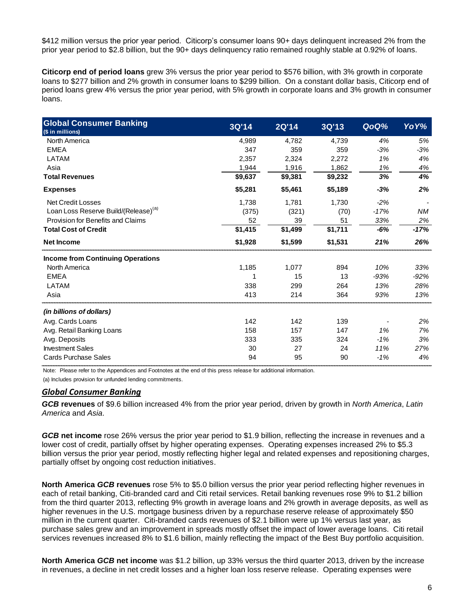\$412 million versus the prior year period. Citicorp's consumer loans 90+ days delinquent increased 2% from the prior year period to \$2.8 billion, but the 90+ days delinquency ratio remained roughly stable at 0.92% of loans.

**Citicorp end of period loans** grew 3% versus the prior year period to \$576 billion, with 3% growth in corporate loans to \$277 billion and 2% growth in consumer loans to \$299 billion. On a constant dollar basis, Citicorp end of period loans grew 4% versus the prior year period, with 5% growth in corporate loans and 3% growth in consumer loans.

| <b>Global Consumer Banking</b><br>(\$ in millions) | 3Q'14   | 2Q'14   | 3Q'13   | QoQ%   | YoY%      |
|----------------------------------------------------|---------|---------|---------|--------|-----------|
| North America                                      | 4,989   | 4,782   | 4,739   | 4%     | 5%        |
| <b>EMEA</b>                                        | 347     | 359     | 359     | $-3%$  | $-3%$     |
| LATAM                                              | 2,357   | 2,324   | 2,272   | 1%     | 4%        |
| Asia                                               | 1,944   | 1,916   | 1,862   | 1%     | 4%        |
| <b>Total Revenues</b>                              | \$9,637 | \$9,381 | \$9,232 | 3%     | 4%        |
| <b>Expenses</b>                                    | \$5,281 | \$5,461 | \$5,189 | $-3%$  | 2%        |
| <b>Net Credit Losses</b>                           | 1,738   | 1,781   | 1,730   | $-2%$  |           |
| Loan Loss Reserve Build/(Release) <sup>(a)</sup>   | (375)   | (321)   | (70)    | $-17%$ | <b>NM</b> |
| Provision for Benefits and Claims                  | 52      | 39      | 51      | 33%    | 2%        |
| <b>Total Cost of Credit</b>                        | \$1,415 | \$1,499 | \$1,711 | $-6%$  | $-17%$    |
| <b>Net Income</b>                                  | \$1,928 | \$1,599 | \$1,531 | 21%    | 26%       |
| <b>Income from Continuing Operations</b>           |         |         |         |        |           |
| North America                                      | 1,185   | 1,077   | 894     | 10%    | 33%       |
| <b>EMEA</b>                                        |         | 15      | 13      | $-93%$ | $-92%$    |
| LATAM                                              | 338     | 299     | 264     | 13%    | 28%       |
| Asia                                               | 413     | 214     | 364     | 93%    | 13%       |
| (in billions of dollars)                           |         |         |         |        |           |
| Avg. Cards Loans                                   | 142     | 142     | 139     |        | 2%        |
| Avg. Retail Banking Loans                          | 158     | 157     | 147     | 1%     | 7%        |
| Avg. Deposits                                      | 333     | 335     | 324     | $-1%$  | 3%        |
| <b>Investment Sales</b>                            | 30      | 27      | 24      | 11%    | 27%       |
| <b>Cards Purchase Sales</b>                        | 94      | 95      | 90      | $-1%$  | 4%        |

Note: Please refer to the Appendices and Footnotes at the end of this press release for additional information.

(a) Includes provision for unfunded lending commitments.

#### *Global Consumer Banking*

*GCB* **revenues** of \$9.6 billion increased 4% from the prior year period, driven by growth in *North America*, *Latin America* and *Asia*.

*GCB* **net income** rose 26% versus the prior year period to \$1.9 billion, reflecting the increase in revenues and a lower cost of credit, partially offset by higher operating expenses. Operating expenses increased 2% to \$5.3 billion versus the prior year period, mostly reflecting higher legal and related expenses and repositioning charges, partially offset by ongoing cost reduction initiatives.

**North America** *GCB* **revenues** rose 5% to \$5.0 billion versus the prior year period reflecting higher revenues in each of retail banking, Citi-branded card and Citi retail services. Retail banking revenues rose 9% to \$1.2 billion from the third quarter 2013, reflecting 9% growth in average loans and 2% growth in average deposits, as well as higher revenues in the U.S. mortgage business driven by a repurchase reserve release of approximately \$50 million in the current quarter. Citi-branded cards revenues of \$2.1 billion were up 1% versus last year, as purchase sales grew and an improvement in spreads mostly offset the impact of lower average loans. Citi retail services revenues increased 8% to \$1.6 billion, mainly reflecting the impact of the Best Buy portfolio acquisition.

**North America** *GCB* **net income** was \$1.2 billion, up 33% versus the third quarter 2013, driven by the increase in revenues, a decline in net credit losses and a higher loan loss reserve release. Operating expenses were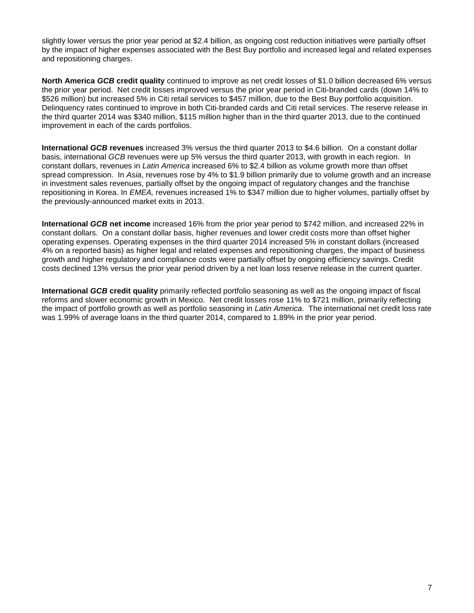slightly lower versus the prior year period at \$2.4 billion, as ongoing cost reduction initiatives were partially offset by the impact of higher expenses associated with the Best Buy portfolio and increased legal and related expenses and repositioning charges.

**North America** *GCB* **credit quality** continued to improve as net credit losses of \$1.0 billion decreased 6% versus the prior year period. Net credit losses improved versus the prior year period in Citi-branded cards (down 14% to \$526 million) but increased 5% in Citi retail services to \$457 million, due to the Best Buy portfolio acquisition. Delinquency rates continued to improve in both Citi-branded cards and Citi retail services. The reserve release in the third quarter 2014 was \$340 million, \$115 million higher than in the third quarter 2013, due to the continued improvement in each of the cards portfolios.

**International** *GCB* **revenues** increased 3% versus the third quarter 2013 to \$4.6 billion. On a constant dollar basis, international *GCB* revenues were up 5% versus the third quarter 2013, with growth in each region. In constant dollars, revenues in *Latin America* increased 6% to \$2.4 billion as volume growth more than offset spread compression. In *Asia*, revenues rose by 4% to \$1.9 billion primarily due to volume growth and an increase in investment sales revenues, partially offset by the ongoing impact of regulatory changes and the franchise repositioning in Korea. In *EMEA,* revenues increased 1% to \$347 million due to higher volumes, partially offset by the previously-announced market exits in 2013.

**International** *GCB* **net income** increased 16% from the prior year period to \$742 million, and increased 22% in constant dollars. On a constant dollar basis, higher revenues and lower credit costs more than offset higher operating expenses. Operating expenses in the third quarter 2014 increased 5% in constant dollars (increased 4% on a reported basis) as higher legal and related expenses and repositioning charges, the impact of business growth and higher regulatory and compliance costs were partially offset by ongoing efficiency savings. Credit costs declined 13% versus the prior year period driven by a net loan loss reserve release in the current quarter.

**International** *GCB* **credit quality** primarily reflected portfolio seasoning as well as the ongoing impact of fiscal reforms and slower economic growth in Mexico. Net credit losses rose 11% to \$721 million, primarily reflecting the impact of portfolio growth as well as portfolio seasoning in *Latin America*. The international net credit loss rate was 1.99% of average loans in the third quarter 2014, compared to 1.89% in the prior year period.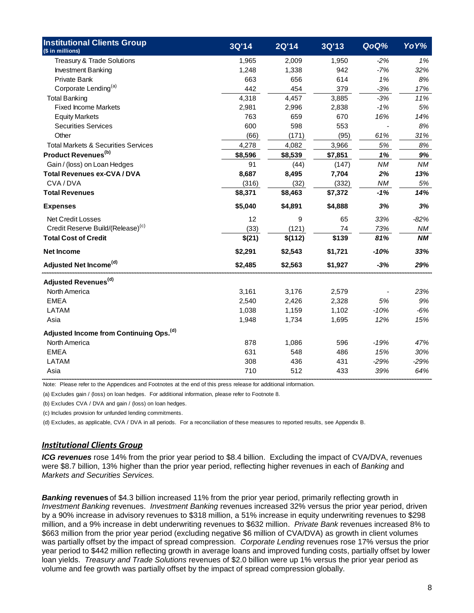| <b>Institutional Clients Group</b><br>(\$ in millions) | 3Q'14   | <b>2Q'14</b> | 3Q'13   | QoQ%      | YoY%      |
|--------------------------------------------------------|---------|--------------|---------|-----------|-----------|
| Treasury & Trade Solutions                             | 1,965   | 2,009        | 1,950   | $-2%$     | 1%        |
| <b>Investment Banking</b>                              | 1,248   | 1,338        | 942     | $-7%$     | 32%       |
| Private Bank                                           | 663     | 656          | 614     | 1%        | 8%        |
| Corporate Lending <sup>(a)</sup>                       | 442     | 454          | 379     | $-3%$     | 17%       |
| <b>Total Banking</b>                                   | 4,318   | 4,457        | 3,885   | $-3%$     | 11%       |
| <b>Fixed Income Markets</b>                            | 2,981   | 2,996        | 2,838   | $-1%$     | 5%        |
| <b>Equity Markets</b>                                  | 763     | 659          | 670     | 16%       | 14%       |
| <b>Securities Services</b>                             | 600     | 598          | 553     |           | 8%        |
| Other                                                  | (66)    | (171)        | (95)    | 61%       | 31%       |
| <b>Total Markets &amp; Securities Services</b>         | 4,278   | 4,082        | 3,966   | 5%        | 8%        |
| Product Revenues <sup>(b)</sup>                        | \$8,596 | \$8,539      | \$7,851 | 1%        | 9%        |
| Gain / (loss) on Loan Hedges                           | 91      | (44)         | (147)   | <b>NM</b> | <b>NM</b> |
| <b>Total Revenues ex-CVA/DVA</b>                       | 8,687   | 8,495        | 7,704   | 2%        | 13%       |
| CVA/DVA                                                | (316)   | (32)         | (332)   | ΝM        | 5%        |
| <b>Total Revenues</b>                                  | \$8,371 | \$8,463      | \$7,372 | $-1%$     | 14%       |
| <b>Expenses</b>                                        | \$5,040 | \$4,891      | \$4,888 | 3%        | 3%        |
| <b>Net Credit Losses</b>                               | 12      | 9            | 65      | 33%       | $-82%$    |
| Credit Reserve Build/(Release) <sup>(c)</sup>          | (33)    | (121)        | 74      | 73%       | NM        |
| <b>Total Cost of Credit</b>                            | \$(21)  | \$(112)      | \$139   | 81%       | NΜ        |
| <b>Net Income</b>                                      | \$2,291 | \$2,543      | \$1,721 | $-10%$    | 33%       |
| Adjusted Net Income <sup>(d)</sup>                     | \$2,485 | \$2,563      | \$1,927 | $-3%$     | 29%       |
| Adjusted Revenues <sup>(d)</sup>                       |         |              |         |           |           |
| North America                                          | 3,161   | 3,176        | 2,579   |           | 23%       |
| <b>EMEA</b>                                            | 2,540   | 2,426        | 2,328   | 5%        | 9%        |
| <b>LATAM</b>                                           | 1,038   | 1,159        | 1,102   | $-10%$    | $-6%$     |
| Asia                                                   | 1,948   | 1,734        | 1,695   | 12%       | 15%       |
| Adjusted Income from Continuing Ops. <sup>(d)</sup>    |         |              |         |           |           |
| North America                                          | 878     | 1,086        | 596     | $-19%$    | 47%       |
| <b>EMEA</b>                                            | 631     | 548          | 486     | 15%       | 30%       |
| <b>LATAM</b>                                           | 308     | 436          | 431     | $-29%$    | $-29%$    |
| Asia                                                   | 710     | 512          | 433     | 39%       | 64%       |

Note: Please refer to the Appendices and Footnotes at the end of this press release for additional information.

(a) Excludes gain / (loss) on loan hedges. For additional information, please refer to Footnote 8.

(b) Excludes CVA / DVA and gain / (loss) on loan hedges.

(c) Includes provision for unfunded lending commitments.

(d) Excludes, as applicable, CVA / DVA in all periods. For a reconciliation of these measures to reported results, see Appendix B.

### *Institutional Clients Group*

*ICG revenues* rose 14% from the prior year period to \$8.4 billion. Excluding the impact of CVA/DVA, revenues were \$8.7 billion, 13% higher than the prior year period, reflecting higher revenues in each of *Banking* and *Markets and Securities Services.* 

*Banking* **revenues** of \$4.3 billion increased 11% from the prior year period, primarily reflecting growth in *Investment Banking* revenues. *Investment Banking* revenues increased 32% versus the prior year period, driven by a 90% increase in advisory revenues to \$318 million, a 51% increase in equity underwriting revenues to \$298 million, and a 9% increase in debt underwriting revenues to \$632 million. *Private Bank* revenues increased 8% to \$663 million from the prior year period (excluding negative \$6 million of CVA/DVA) as growth in client volumes was partially offset by the impact of spread compression. *Corporate Lending* revenues rose 17% versus the prior year period to \$442 million reflecting growth in average loans and improved funding costs, partially offset by lower loan yields. *Treasury and Trade Solutions* revenues of \$2.0 billion were up 1% versus the prior year period as volume and fee growth was partially offset by the impact of spread compression globally.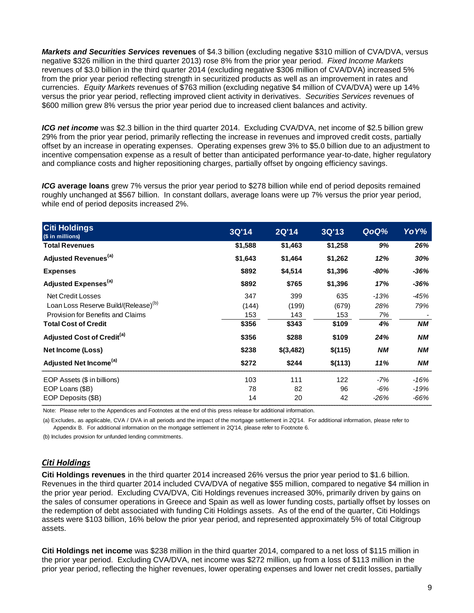*Markets and Securities Services* **revenues** of \$4.3 billion (excluding negative \$310 million of CVA/DVA, versus negative \$326 million in the third quarter 2013) rose 8% from the prior year period. *Fixed Income Markets* revenues of \$3.0 billion in the third quarter 2014 (excluding negative \$306 million of CVA/DVA) increased 5% from the prior year period reflecting strength in securitized products as well as an improvement in rates and currencies. *Equity Markets* revenues of \$763 million (excluding negative \$4 million of CVA/DVA) were up 14% versus the prior year period, reflecting improved client activity in derivatives. *Securities Services* revenues of \$600 million grew 8% versus the prior year period due to increased client balances and activity.

ICG net income was \$2.3 billion in the third quarter 2014. Excluding CVA/DVA, net income of \$2.5 billion grew 29% from the prior year period, primarily reflecting the increase in revenues and improved credit costs, partially offset by an increase in operating expenses. Operating expenses grew 3% to \$5.0 billion due to an adjustment to incentive compensation expense as a result of better than anticipated performance year-to-date, higher regulatory and compliance costs and higher repositioning charges, partially offset by ongoing efficiency savings.

*ICG* **average loans** grew 7% versus the prior year period to \$278 billion while end of period deposits remained roughly unchanged at \$567 billion. In constant dollars, average loans were up 7% versus the prior year period, while end of period deposits increased 2%.

| <b>Citi Holdings</b><br>(\$ in millions)                                                                                                                                                   | 3Q'14                                 | 2Q'14                                 | 3Q'13                                 | QoQ%                             | YoY%                    |
|--------------------------------------------------------------------------------------------------------------------------------------------------------------------------------------------|---------------------------------------|---------------------------------------|---------------------------------------|----------------------------------|-------------------------|
| <b>Total Revenues</b>                                                                                                                                                                      | \$1,588                               | \$1,463                               | \$1,258                               | 9%                               | 26%                     |
| Adjusted Revenues <sup>(a)</sup>                                                                                                                                                           | \$1,643                               | \$1,464                               | \$1,262                               | 12%                              | 30%                     |
| <b>Expenses</b>                                                                                                                                                                            | \$892                                 | \$4,514                               | \$1,396                               | $-80%$                           | -36%                    |
| Adjusted Expenses <sup>(a)</sup>                                                                                                                                                           | \$892                                 | \$765                                 | \$1,396                               | 17%                              | $-36%$                  |
| <b>Net Credit Losses</b><br>Loan Loss Reserve Build/(Release) <sup>(b)</sup><br>Provision for Benefits and Claims<br><b>Total Cost of Credit</b><br>Adjusted Cost of Credit <sup>(a)</sup> | 347<br>(144)<br>153<br>\$356<br>\$356 | 399<br>(199)<br>143<br>\$343<br>\$288 | 635<br>(679)<br>153<br>\$109<br>\$109 | $-13%$<br>28%<br>7%<br>4%<br>24% | -45%<br>79%<br>ΝM<br>ΝM |
| Net Income (Loss)                                                                                                                                                                          | \$238                                 | \$(3,482)                             | \$(115)                               | <b>NM</b>                        | NM                      |
| Adjusted Net Income <sup>(a)</sup>                                                                                                                                                         | \$272                                 | \$244                                 | \$(113)                               | 11%                              | ΝM                      |
| EOP Assets (\$ in billions)<br>EOP Loans (\$B)<br>EOP Deposits (\$B)                                                                                                                       | 103<br>78<br>14                       | 111<br>82<br>20                       | 122<br>96<br>42                       | $-7%$<br>$-6%$<br>-26%           | $-16%$<br>-19%<br>-66%  |

Note: Please refer to the Appendices and Footnotes at the end of this press release for additional information.

(a) Excludes, as applicable, CVA / DVA in all periods and the impact of the mortgage settlement in 2Q'14. For additional information, please refer to Appendix B. For additional information on the mortgage settlement in 2Q'14, please refer to Footnote 6.

(b) Includes provision for unfunded lending commitments.

### *Citi Holdings*

**Citi Holdings revenues** in the third quarter 2014 increased 26% versus the prior year period to \$1.6 billion. Revenues in the third quarter 2014 included CVA/DVA of negative \$55 million, compared to negative \$4 million in the prior year period. Excluding CVA/DVA, Citi Holdings revenues increased 30%, primarily driven by gains on the sales of consumer operations in Greece and Spain as well as lower funding costs, partially offset by losses on the redemption of debt associated with funding Citi Holdings assets. As of the end of the quarter, Citi Holdings assets were \$103 billion, 16% below the prior year period, and represented approximately 5% of total Citigroup assets.

**Citi Holdings net income** was \$238 million in the third quarter 2014, compared to a net loss of \$115 million in the prior year period. Excluding CVA/DVA, net income was \$272 million, up from a loss of \$113 million in the prior year period, reflecting the higher revenues, lower operating expenses and lower net credit losses, partially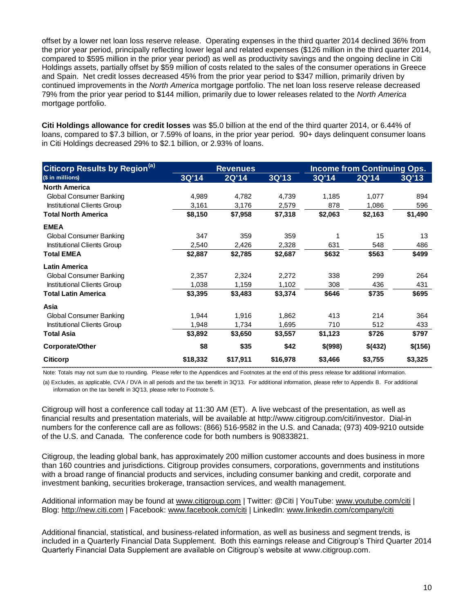offset by a lower net loan loss reserve release. Operating expenses in the third quarter 2014 declined 36% from the prior year period, principally reflecting lower legal and related expenses (\$126 million in the third quarter 2014, compared to \$595 million in the prior year period) as well as productivity savings and the ongoing decline in Citi Holdings assets, partially offset by \$59 million of costs related to the sales of the consumer operations in Greece and Spain. Net credit losses decreased 45% from the prior year period to \$347 million, primarily driven by continued improvements in the *North America* mortgage portfolio. The net loan loss reserve release decreased 79% from the prior year period to \$144 million, primarily due to lower releases related to the *North America* mortgage portfolio.

**Citi Holdings allowance for credit losses** was \$5.0 billion at the end of the third quarter 2014, or 6.44% of loans, compared to \$7.3 billion, or 7.59% of loans, in the prior year period. 90+ days delinquent consumer loans in Citi Holdings decreased 29% to \$2.1 billion, or 2.93% of loans.

| <b>Citicorp Results by Region(a)</b> | <b>Revenues</b> |          |          | <b>Income from Continuing Ops.</b> |         |         |
|--------------------------------------|-----------------|----------|----------|------------------------------------|---------|---------|
| (\$ in millions)                     | 3Q'14           | 2Q'14    | 3Q'13    | 3Q'14                              | 2Q'14   | 3Q'13   |
| <b>North America</b>                 |                 |          |          |                                    |         |         |
| <b>Global Consumer Banking</b>       | 4,989           | 4,782    | 4,739    | 1,185                              | 1,077   | 894     |
| Institutional Clients Group          | 3,161           | 3,176    | 2,579    | 878                                | 1,086   | 596     |
| <b>Total North America</b>           | \$8,150         | \$7,958  | \$7,318  | \$2,063                            | \$2,163 | \$1,490 |
| <b>EMEA</b>                          |                 |          |          |                                    |         |         |
| Global Consumer Banking              | 347             | 359      | 359      |                                    | 15      | 13      |
| Institutional Clients Group          | 2,540           | 2,426    | 2,328    | 631                                | 548     | 486     |
| <b>Total EMEA</b>                    | \$2,887         | \$2,785  | \$2,687  | \$632                              | \$563   | \$499   |
| <b>Latin America</b>                 |                 |          |          |                                    |         |         |
| <b>Global Consumer Banking</b>       | 2,357           | 2,324    | 2,272    | 338                                | 299     | 264     |
| Institutional Clients Group          | 1,038           | 1,159    | 1,102    | 308                                | 436     | 431     |
| <b>Total Latin America</b>           | \$3,395         | \$3,483  | \$3,374  | \$646                              | \$735   | \$695   |
| Asia                                 |                 |          |          |                                    |         |         |
| Global Consumer Banking              | 1,944           | 1,916    | 1,862    | 413                                | 214     | 364     |
| Institutional Clients Group          | 1,948           | 1,734    | 1,695    | 710                                | 512     | 433     |
| <b>Total Asia</b>                    | \$3,892         | \$3,650  | \$3,557  | \$1,123                            | \$726   | \$797   |
| Corporate/Other                      | \$8             | \$35     | \$42     | \$(998)                            | \$(432) | \$(156) |
| <b>Citicorp</b>                      | \$18,332        | \$17,911 | \$16,978 | \$3,466                            | \$3,755 | \$3,325 |

Note: Totals may not sum due to rounding. Please refer to the Appendices and Footnotes at the end of this press release for additional information.

(a) Excludes, as applicable, CVA / DVA in all periods and the tax benefit in 3Q'13. For additional information, please refer to Appendix B. For additional information on the tax benefit in 3Q'13, please refer to Footnote 5.

Citigroup will host a conference call today at 11:30 AM (ET). A live webcast of the presentation, as well as financial results and presentation materials, will be available at [http://www.citigroup.com/citi/investor.](http://www.citigroup.com/citi/fin) Dial-in numbers for the conference call are as follows: (866) 516-9582 in the U.S. and Canada; (973) 409-9210 outside of the U.S. and Canada. The conference code for both numbers is 90833821.

Citigroup, the leading global bank, has approximately 200 million customer accounts and does business in more than 160 countries and jurisdictions. Citigroup provides consumers, corporations, governments and institutions with a broad range of financial products and services, including consumer banking and credit, corporate and investment banking, securities brokerage, transaction services, and wealth management.

Additional information may be found at [www.citigroup.com](http://www.citigroup.com/) | Twitter: @Citi | YouTube: [www.youtube.com/citi](http://www.youtube.com/citi) | Blog: [http://new.citi.com](http://new.citi.com/) | Facebook: [www.facebook.com/citi](http://www.facebook.com/citi) | LinkedIn: [www.linkedin.com/company/citi](http://www.linkedin.com/company/citi)

Additional financial, statistical, and business-related information, as well as business and segment trends, is included in a Quarterly Financial Data Supplement. Both this earnings release and Citigroup's Third Quarter 2014 Quarterly Financial Data Supplement are available on Citigroup's website at [www.citigroup.com.](http://www.citigroup.com/)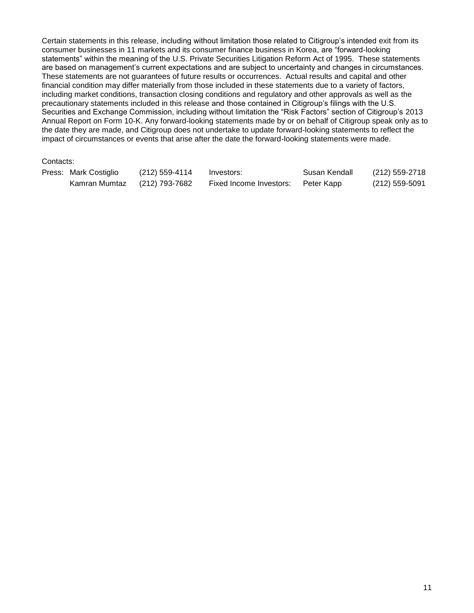Certain statements in this release, including without limitation those related to Citigroup's intended exit from its consumer businesses in 11 markets and its consumer finance business in Korea, are "forward-looking statements" within the meaning of the U.S. Private Securities Litigation Reform Act of 1995. These statements are based on management's current expectations and are subject to uncertainty and changes in circumstances. These statements are not guarantees of future results or occurrences. Actual results and capital and other financial condition may differ materially from those included in these statements due to a variety of factors, including market conditions, transaction closing conditions and regulatory and other approvals as well as the precautionary statements included in this release and those contained in Citigroup's filings with the U.S. Securities and Exchange Commission, including without limitation the "Risk Factors" section of Citigroup's 2013 Annual Report on Form 10-K. Any forward-looking statements made by or on behalf of Citigroup speak only as to the date they are made, and Citigroup does not undertake to update forward-looking statements to reflect the impact of circumstances or events that arise after the date the forward-looking statements were made.

### Contacts:

| Press: Mark Costiglio | (212) 559-4114 | Investors:              | Susan Kendall | (212) 559-2718   |
|-----------------------|----------------|-------------------------|---------------|------------------|
| Kamran Mumtaz         | (212) 793-7682 | Fixed Income Investors: | Peter Kapp    | $(212)$ 559-5091 |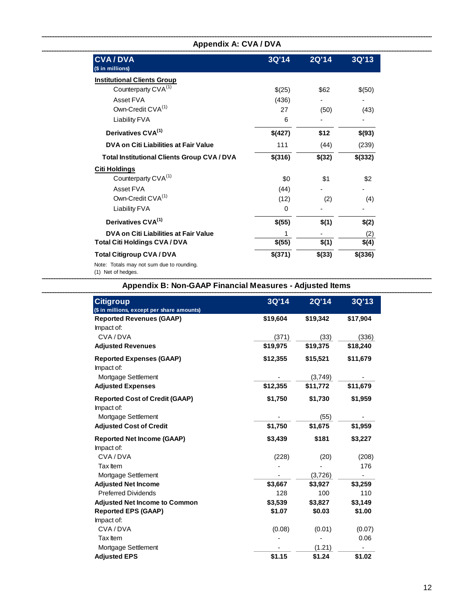| <b>Appendix A: CVA / DVA</b>                       |         |              |         |  |
|----------------------------------------------------|---------|--------------|---------|--|
| <b>CVA/DVA</b><br>(\$ in millions)                 | 3Q'14   | <b>2Q'14</b> | 3Q'13   |  |
| <b>Institutional Clients Group</b>                 |         |              |         |  |
| Counterparty CVA <sup>(1)</sup>                    | \$(25)  | \$62         | \$(50)  |  |
| Asset FVA                                          | (436)   |              |         |  |
| Own-Credit CVA <sup>(1)</sup>                      | 27      | (50)         | (43)    |  |
| Liability FVA                                      | 6       |              |         |  |
| Derivatives CVA <sup>(1)</sup>                     | \$(427) | \$12         | \$(93)  |  |
| DVA on Citi Liabilities at Fair Value              | 111     | (44)         | (239)   |  |
| <b>Total Institutional Clients Group CVA / DVA</b> | \$(316) | \$(32)       | \$(332) |  |
| <b>Citi Holdings</b>                               |         |              |         |  |
| Counterparty CVA <sup>(1)</sup>                    | \$0     | \$1          | \$2     |  |
| Asset FVA                                          | (44)    |              |         |  |
| Own-Credit CVA <sup>(1)</sup>                      | (12)    | (2)          | (4)     |  |
| Liability FVA                                      | 0       |              |         |  |
| Derivatives CVA <sup>(1)</sup>                     | \$(55)  | \$(1)        | \$(2)   |  |
| DVA on Citi Liabilities at Fair Value              |         |              | (2)     |  |
| <b>Total Citi Holdings CVA/DVA</b>                 | \$(55)  | \$(1)        | \$(4)   |  |
| <b>Total Citigroup CVA/DVA</b>                     | \$(371) | \$(33)       | \$(336) |  |
| Note: Totals may not sum due to rounding.          |         |              |         |  |

(1) Net of hedges.

### **Appendix B: Non-GAAP Financial Measures - Adjusted Items**

| <b>Citigroup</b><br>(\$ in millions, except per share amounts) | 3Q'14    | 2Q'14    | 3Q'13    |
|----------------------------------------------------------------|----------|----------|----------|
| <b>Reported Revenues (GAAP)</b><br>Impact of:                  | \$19,604 | \$19,342 | \$17,904 |
| CVA/DVA                                                        | (371)    | (33)     | (336)    |
| <b>Adjusted Revenues</b>                                       | \$19,975 | \$19,375 | \$18,240 |
| <b>Reported Expenses (GAAP)</b><br>Impact of:                  | \$12,355 | \$15,521 | \$11,679 |
| Mortgage Settlement                                            |          | (3,749)  |          |
| <b>Adjusted Expenses</b>                                       | \$12,355 | \$11,772 | \$11,679 |
| <b>Reported Cost of Credit (GAAP)</b><br>Impact of:            | \$1,750  | \$1,730  | \$1,959  |
| Mortgage Settlement                                            |          | (55)     |          |
| <b>Adjusted Cost of Credit</b>                                 | \$1,750  | \$1,675  | \$1,959  |
| <b>Reported Net Income (GAAP)</b>                              | \$3,439  | \$181    | \$3,227  |
| Impact of:                                                     |          |          |          |
| CVA/DVA                                                        | (228)    | (20)     | (208)    |
| Tax Item                                                       |          |          | 176      |
| Mortgage Settlement                                            |          | (3,726)  |          |
| <b>Adjusted Net Income</b>                                     | \$3,667  | \$3,927  | \$3,259  |
| <b>Preferred Dividends</b>                                     | 128      | 100      | 110      |
| <b>Adjusted Net Income to Common</b>                           | \$3,539  | \$3,827  | \$3,149  |
| <b>Reported EPS (GAAP)</b>                                     | \$1.07   | \$0.03   | \$1.00   |
| Impact of:                                                     |          |          |          |
| CVA/DVA                                                        | (0.08)   | (0.01)   | (0.07)   |
| Tax Item                                                       |          |          | 0.06     |
| Mortgage Settlement                                            |          | (1.21)   |          |
| <b>Adjusted EPS</b>                                            | \$1.15   | \$1.24   | \$1.02   |

L.

\_\_\_\_\_\_\_\_\_\_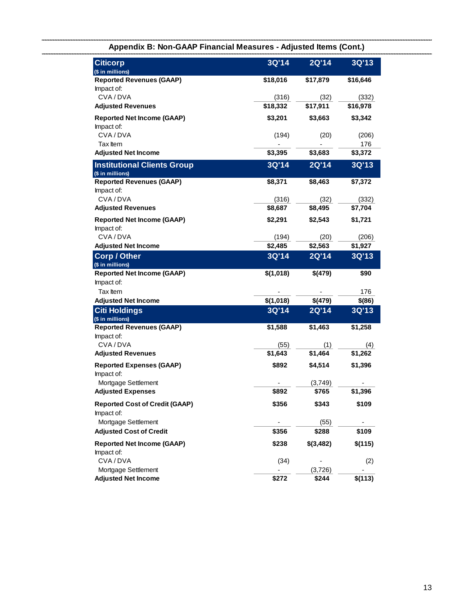| <b>Citicorp</b><br>(\$ in millions)                    | 3Q'14     | 2Q'14     | 3Q'13      |
|--------------------------------------------------------|-----------|-----------|------------|
| <b>Reported Revenues (GAAP)</b>                        | \$18,016  | \$17,879  | \$16,646   |
| Impact of:                                             |           |           |            |
| CVA/DVA                                                | (316)     | (32)      | (332)      |
| <b>Adjusted Revenues</b>                               | \$18,332  | \$17,911  | \$16,978   |
| <b>Reported Net Income (GAAP)</b>                      | \$3,201   | \$3,663   | \$3,342    |
| Impact of:                                             |           |           |            |
| CVA/DVA                                                | (194)     | (20)      | (206)      |
| Tax Item                                               |           |           | 176        |
| <b>Adjusted Net Income</b>                             | \$3,395   | \$3,683   | \$3,372    |
| <b>Institutional Clients Group</b><br>(\$ in millions) | 3Q'14     | 2Q'14     | 3Q'13      |
| <b>Reported Revenues (GAAP)</b>                        | \$8,371   | \$8,463   | \$7,372    |
| Impact of:                                             |           |           |            |
| CVA/DVA                                                | (316)     | (32)      | (332)      |
| <b>Adjusted Revenues</b>                               | \$8,687   | \$8,495   | \$7,704    |
| <b>Reported Net Income (GAAP)</b><br>Impact of:        | \$2,291   | \$2,543   | \$1,721    |
| CVA/DVA                                                | (194)     | (20)      | (206)      |
| <b>Adjusted Net Income</b>                             | \$2,485   | \$2,563   | \$1,927    |
| <b>Corp / Other</b>                                    | 3Q'14     | 2Q'14     | 3Q'13      |
| (\$ in millions)                                       |           |           |            |
| <b>Reported Net Income (GAAP)</b>                      | \$(1,018) | \$(479)   | \$90       |
| Impact of:                                             |           |           |            |
| Tax Item                                               |           |           | 176        |
| <b>Adjusted Net Income</b>                             | \$(1,018) | \$(479)   | $$^{(86)}$ |
| <b>Citi Holdings</b><br>(\$ in millions)               | 3Q'14     | 2Q'14     | 3Q'13      |
| <b>Reported Revenues (GAAP)</b>                        | \$1,588   | \$1,463   | \$1,258    |
| Impact of:                                             |           |           |            |
| CVA/DVA                                                | (55)      | (1)       | (4)        |
| <b>Adjusted Revenues</b>                               | \$1,643   | \$1,464   | \$1,262    |
| <b>Reported Expenses (GAAP)</b><br>Impact of:          | \$892     | \$4,514   | \$1,396    |
| Mortgage Settlement                                    |           | (3,749)   |            |
| <b>Adjusted Expenses</b>                               | \$892     | \$765     | \$1,396    |
| <b>Reported Cost of Credit (GAAP)</b><br>Impact of:    | \$356     | \$343     | \$109      |
| Mortgage Settlement                                    |           | (55)      |            |
| <b>Adjusted Cost of Credit</b>                         | \$356     | \$288     | \$109      |
| <b>Reported Net Income (GAAP)</b><br>Impact of:        | \$238     | \$(3,482) | \$(115)    |
| CVA/DVA                                                | (34)      |           | (2)        |
| Mortgage Settlement                                    |           | (3,726)   |            |
| <b>Adjusted Net Income</b>                             | \$272     | \$244     | \$(113)    |

## **Appendix B: Non-GAAP Financial Measures - Adjusted Items (Cont.)**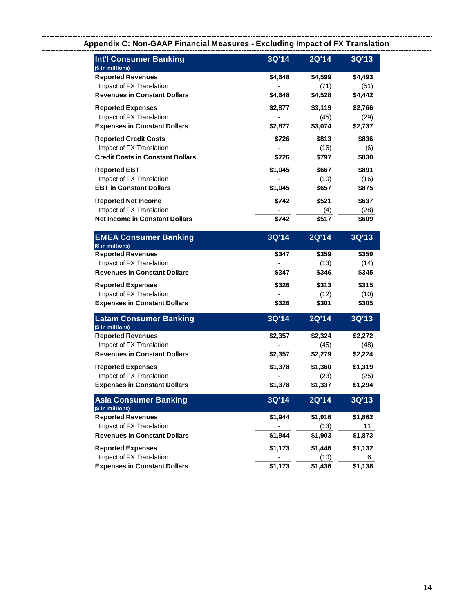|                                                   |         | AURUMING MIPAUL ULI A TTANSK |         |
|---------------------------------------------------|---------|------------------------------|---------|
| Int'l Consumer Banking<br>(\$ in millions)        | 3Q'14   | 2Q'14                        | 3Q'13   |
| <b>Reported Revenues</b>                          | \$4,648 | \$4,599                      | \$4,493 |
| Impact of FX Translation                          |         | (71)                         | (51)    |
| <b>Revenues in Constant Dollars</b>               | \$4,648 | \$4,528                      | \$4,442 |
| <b>Reported Expenses</b>                          | \$2,877 | \$3,119                      | \$2,766 |
| Impact of FX Translation                          |         | (45)                         | (29)    |
| <b>Expenses in Constant Dollars</b>               | \$2,877 | \$3,074                      | \$2,737 |
| <b>Reported Credit Costs</b>                      | \$726   | \$813                        | \$836   |
| Impact of FX Translation                          |         | (16)                         | (6)     |
| <b>Credit Costs in Constant Dollars</b>           | \$726   | \$797                        | \$830   |
| <b>Reported EBT</b>                               | \$1,045 | \$667                        | \$891   |
| Impact of FX Translation                          |         | (10)                         | (16)    |
| <b>EBT in Constant Dollars</b>                    | \$1,045 | \$657                        | \$875   |
| <b>Reported Net Income</b>                        | \$742   | \$521                        | \$637   |
| Impact of FX Translation                          |         | (4)                          | (28)    |
| <b>Net Income in Constant Dollars</b>             | \$742   | \$517                        | \$609   |
| <b>EMEA Consumer Banking</b><br>(\$ in millions)  | 3Q'14   | 2Q'14                        | 3Q'13   |
| <b>Reported Revenues</b>                          | \$347   | \$359                        | \$359   |
| Impact of FX Translation                          |         | (13)                         | (14)    |
| <b>Revenues in Constant Dollars</b>               | \$347   | \$346                        | \$345   |
| <b>Reported Expenses</b>                          | \$326   | \$313                        | \$315   |
| Impact of FX Translation                          |         | (12)                         | (10)    |
| <b>Expenses in Constant Dollars</b>               | \$326   | \$301                        | \$305   |
| <b>Latam Consumer Banking</b><br>(\$ in millions) | 3Q'14   | 2Q'14                        | 3Q'13   |
| <b>Reported Revenues</b>                          | \$2,357 | \$2,324                      | \$2,272 |
| Impact of FX Translation                          |         | (45)                         | (48)    |
| <b>Revenues in Constant Dollars</b>               | \$2,357 | \$2,279                      | \$2,224 |
| <b>Reported Expenses</b>                          | \$1,378 | \$1,360                      | \$1,319 |
| Impact of FX Translation                          |         | (23)                         | (25)    |
| <b>Expenses in Constant Dollars</b>               | \$1,378 | \$1,337                      | \$1,294 |
| <b>Asia Consumer Banking</b><br>(\$ in millions)  | 3Q'14   | 2Q'14                        | 3Q'13   |
| <b>Reported Revenues</b>                          | \$1,944 | \$1,916                      | \$1,862 |
| Impact of FX Translation                          |         | (13)                         | 11      |
| <b>Revenues in Constant Dollars</b>               | \$1,944 | \$1,903                      | \$1,873 |

**Revenues in Constant Dollars \$1,944 \$1,903 \$1,873 Reported Expenses \$1,173 \$1,446 \$1,132** Impact of FX Translation 6 and 10 minutes of FX Translation 6 **Expenses in Constant Dollars 61,173 \$1,436 \$1,138** 

## **Appendix C: Non-GAAP Financial Measures - Excluding Impact of FX Translation**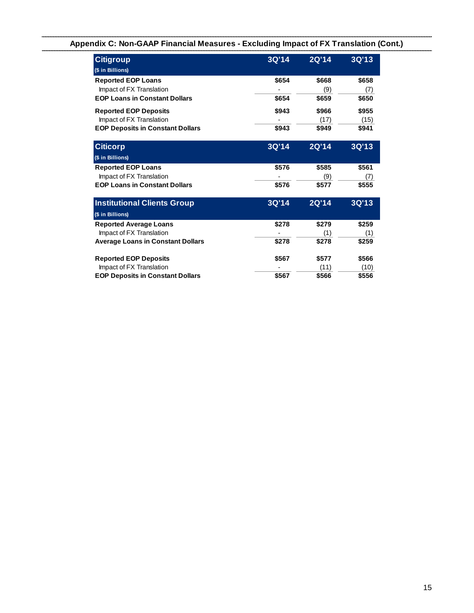## **Appendix C: Non-GAAP Financial Measures - Excluding Impact of FX Translation (Cont.)**

| <b>Citigroup</b><br>(\$ in Billions)                                                                              | 3Q'14          | <b>2Q'14</b>           | 3Q'13                  |
|-------------------------------------------------------------------------------------------------------------------|----------------|------------------------|------------------------|
| <b>Reported EOP Loans</b><br>Impact of FX Translation<br><b>EOP Loans in Constant Dollars</b>                     | \$654<br>\$654 | \$668<br>(9)<br>\$659  | \$658<br>(7)<br>\$650  |
| <b>Reported EOP Deposits</b><br>Impact of FX Translation<br><b>EOP Deposits in Constant Dollars</b>               | \$943<br>\$943 | \$966<br>(17)<br>\$949 | \$955<br>(15)<br>\$941 |
| <b>Citicorp</b>                                                                                                   | 3Q'14          | 2Q'14                  | 3Q'13                  |
| (\$ in Billions)<br><b>Reported EOP Loans</b><br>Impact of FX Translation<br><b>EOP Loans in Constant Dollars</b> | \$576<br>\$576 | \$585<br>(9)<br>\$577  | \$561<br>(7)<br>\$555  |
| Inetitutional Cliante Croun                                                                                       | 20111          | 2011 A                 | 20112                  |

| <b>Institutional Clients Group</b>       | 3Q'14 | 2Q'14' | 3Q'13 |
|------------------------------------------|-------|--------|-------|
| (\$ in Billions)                         |       |        |       |
| <b>Reported Average Loans</b>            | \$278 | \$279  | \$259 |
| Impact of FX Translation                 |       | (1)    | (1)   |
| <b>Average Loans in Constant Dollars</b> | \$278 | \$278  | \$259 |
| <b>Reported EOP Deposits</b>             | \$567 | \$577  | \$566 |
| Impact of FX Translation                 |       | (11)   | (10)  |
| <b>EOP Deposits in Constant Dollars</b>  | \$567 | \$566  | \$556 |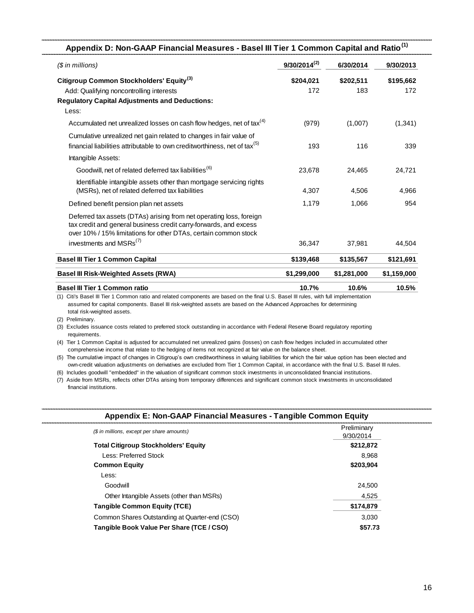| $$$ in millions)                                                                                                                                                                                            | $9/30/2014^{(2)}$ | 6/30/2014        | 9/30/2013        |
|-------------------------------------------------------------------------------------------------------------------------------------------------------------------------------------------------------------|-------------------|------------------|------------------|
| Citigroup Common Stockholders' Equity <sup>(3)</sup>                                                                                                                                                        | \$204,021<br>172  | \$202,511<br>183 | \$195,662<br>172 |
| Add: Qualifying noncontrolling interests<br><b>Regulatory Capital Adjustments and Deductions:</b><br>Less:                                                                                                  |                   |                  |                  |
| Accumulated net unrealized losses on cash flow hedges, net of tax <sup>(4)</sup>                                                                                                                            | (979)             | (1,007)          | (1,341)          |
| Cumulative unrealized net gain related to changes in fair value of<br>financial liabilities attributable to own creditworthiness, net of tax $(5)$                                                          | 193               | 116              | 339              |
| Intangible Assets:                                                                                                                                                                                          |                   |                  |                  |
| Goodwill, net of related deferred tax liabilities <sup>(6)</sup>                                                                                                                                            | 23,678            | 24,465           | 24,721           |
| Identifiable intangible assets other than mortgage servicing rights<br>(MSRs), net of related deferred tax liabilities                                                                                      | 4,307             | 4,506            | 4,966            |
| Defined benefit pension plan net assets                                                                                                                                                                     | 1,179             | 1,066            | 954              |
| Deferred tax assets (DTAs) arising from net operating loss, foreign<br>tax credit and general business credit carry-forwards, and excess<br>over 10% / 15% limitations for other DTAs, certain common stock |                   |                  |                  |
| investments and MSRs <sup>(7)</sup>                                                                                                                                                                         | 36,347            | 37,981           | 44,504           |
| <b>Basel III Tier 1 Common Capital</b>                                                                                                                                                                      | \$139,468         | \$135,567        | \$121,691        |
| <b>Basel III Risk-Weighted Assets (RWA)</b>                                                                                                                                                                 | \$1,299,000       | \$1,281,000      | \$1,159,000      |
| <b>Basel III Tier 1 Common ratio</b>                                                                                                                                                                        | 10.7%             | 10.6%            | 10.5%            |

(1) Citi's Basel III Tier 1 Common ratio and related components are based on the final U.S. Basel III rules, with full implementation assumed for capital components. Basel III risk-weighted assets are based on the Advanced Approaches for determining total risk-weighted assets.

(2) Preliminary.

 requirements. (3) Excludes issuance costs related to preferred stock outstanding in accordance with Federal Reserve Board regulatory reporting

(4) Tier 1 Common Capital is adjusted for accumulated net unrealized gains (losses) on cash flow hedges included in accumulated other comprehensive income that relate to the hedging of items not recognized at fair value on the balance sheet.

(5) The cumulative impact of changes in Citigroup's own creditworthiness in valuing liabilities for which the fair value option has been elected and own-credit valuation adjustments on derivatives are excluded from Tier 1 Common Capital, in accordance with the final U.S. Basel III rules.

(6) Includes goodwill "embedded" in the valuation of significant common stock investments in unconsolidated financial institutions.

 financial institutions. (7) Aside from MSRs, reflects other DTAs arising from temporary differences and significant common stock investments in unconsolidated

| (\$ in millions, except per share amounts)     | Preliminary<br>9/30/2014 |
|------------------------------------------------|--------------------------|
| <b>Total Citigroup Stockholders' Equity</b>    | \$212,872                |
| Less: Preferred Stock                          | 8.968                    |
| <b>Common Equity</b>                           | \$203,904                |
| Less:                                          |                          |
| Goodwill                                       | 24.500                   |
| Other Intangible Assets (other than MSRs)      | 4.525                    |
| <b>Tangible Common Equity (TCE)</b>            | \$174,879                |
| Common Shares Outstanding at Quarter-end (CSO) | 3.030                    |
| Tangible Book Value Per Share (TCE / CSO)      | \$57.73                  |
|                                                |                          |

#### **Appendix E: Non-GAAP Financial Measures - Tangible Common Equity**